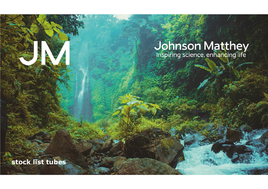# **Johnson Matthey**<br>Inspiring science, enhancing life

**stock list tubes**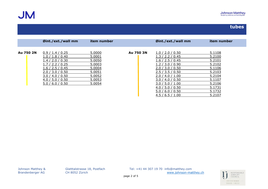**JM** 

|           | Øint./ext./wall mm | item number |           | Øint./ext./wall mm | item number |
|-----------|--------------------|-------------|-----------|--------------------|-------------|
|           |                    |             |           |                    |             |
| Au 750 2N | 0.9 / 1.4 / 0.25   | 5.0000      | Au 750 3N | 1.0 / 2.0 / 0.50   | 5.1108      |
|           | 1.0 / 1.8 / 0.40   | 5.0001      |           | 1.3 / 2.2 / 0.45   | 5.2100      |
|           | 1.4 / 2.0 / 0.30   | 5.0050      |           | 1.6 / 2.5 / 0.45   | 5.2101      |
|           | 1.7 / 2.2 / 0.25   | 5.0003      |           | l.2 / 3.0 / 0.90   | 5.2102      |
|           | 1.6 / 2.5 / 0.45   | 5.0004      |           | 2.0 / 3.0 / 0.50   | 5.1106      |
|           | 2.0 / 3.0 / 0.50   | 5.0051      |           | 2.5 / 3.5 / 0.50   | 5.2103      |
|           | 3.0 / 4.0 / 0.50   | 5.0052      |           | 2.0 / 4.0 / 1.00   | 5.2104      |
|           | 4.0 / 5.0 / 0.50   | 5.0053      |           | 3.0 / 4.0 / 0.50   | 5.1107      |
|           | 5.0 / 6.0 / 0.50   | 5.0054      |           | 3.0 / 5.0 / 1.00   | 5.2106      |
|           |                    |             |           | 4.0 / 5.0 / 0.50   | 5.1731      |
|           |                    |             |           | 5.0 / 6.0 / 0.50   | 5.1732      |
|           |                    |             |           | 4.5 / 6.5 / 1.00   | 5.2107      |

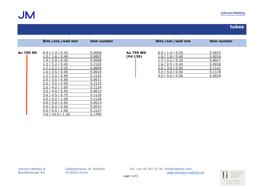|           | Øint./ext./wall mm                                                                                                                                                                                                                                                                                  | item number                                                                                                                                        |                              | Øint./ext./wall mm                                                                                                                       | item number                                                        |
|-----------|-----------------------------------------------------------------------------------------------------------------------------------------------------------------------------------------------------------------------------------------------------------------------------------------------------|----------------------------------------------------------------------------------------------------------------------------------------------------|------------------------------|------------------------------------------------------------------------------------------------------------------------------------------|--------------------------------------------------------------------|
| Au 750 5N | 0.9 / 1.4 / 0.25<br>1.0 / 1.8 / 0.40<br>1.4 / 2.0 / 0.30<br>1.3 / 2.2 / 0.45<br>.7/2.2/0.25<br>1.6 / 2.5 / 0.45<br>1.2 / 3.0 / 0.90<br>2.0 / 3.0 / 0.50<br>2.5 / 3.5 / 0.50<br>2.0 / 4.0 / 1.00<br>3.0 / 4.0 / 0.50<br>3.0 / 4.5 / 0.75<br>3.0 / 5.0 / 1.00<br>4.0 / 5.0 / 0.50<br>5.0 / 6.0 / 0.50 | 5.0006<br>5.0007<br>5.0008<br>5.2120<br>5.0009<br>5.0010<br>5.2122<br>5.0011<br>5.2123<br>5.2124<br>5.0012<br>5.2125<br>5.2126<br>5.0013<br>5.0014 | <b>Au 750 WG</b><br>(Pd 130) | 0.9 / 1.4 / 0.25<br>1.0 / 1.8 / 0.40<br>1.7 / 2.2 / 0.25<br>1.6 / 2.5 / 0.45<br>2.0 / 3.0 / 0.50<br>3.0 / 4.0 / 0.50<br>4.0 / 5.0 / 0.50 | 5.0015<br>5.0016<br>5.0017<br>5.0018<br>5.1121<br>5.1119<br>5.0019 |
|           | 4.5 / 6.5 / 1.00<br>7.6 / 10.0 / 1.20                                                                                                                                                                                                                                                               | 5.2127<br>5.1795                                                                                                                                   |                              |                                                                                                                                          |                                                                    |

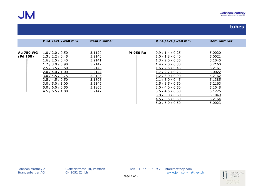|                  | Øint./ext./wall mm | item number |                  | Øint./ext./wall mm | item number |
|------------------|--------------------|-------------|------------------|--------------------|-------------|
|                  |                    |             |                  |                    |             |
| <b>Au 750 WG</b> | 1.0 / 2.0 / 0.50   | 5.1120      | <b>Pt 950 Ru</b> | 0.9 / 1.4 / 0.25   | 5.0020      |
| (Pd 160)         | 1.3 / 2.2 / 0.45   | 5.2140      |                  | 1.0 / 1.8 / 0.40   | 5.0021      |
|                  | 1.6 / 2.5 / 0.45   | 5.2141      |                  | 1.3 / 2.0 / 0.35   | 5.1045      |
|                  | .2/3.0/0.90        | 5.2142      |                  | l.4 / 2.0 / 0.30   | 5.2160      |
|                  | 2.5 / 3.5 / 0.50   | 5.2143      |                  | 1.6 / 2.5 / 0.45   | 5.2161      |
|                  | 2.0 / 4.0 / 1.00   | 5.2144      |                  | / 2.2 / 0.25       | 5.0022      |
|                  | 3.0 / 4.5 / 0.75   | 5.2145      |                  | .2 / 3.0 / 0.90    | 5.2162      |
|                  | 3.5 / 4.5 / 0.50   | 5.1805      |                  | /3.0 / 0.45<br>2.1 | 5.1385      |
|                  | 3.0 / 5.0 / 1.00   | 5.2146      |                  | 2.5 / 3.5 / 0.50   | 5.2163      |
|                  | 5.0 / 6.0 / 0.50   | 5.1806      |                  | 3.0 / 4.0 / 0.50   | 5.1048      |
|                  | 4.5 / 6.5 / 1.00   | 5.2147      |                  | 3.5 / 4.5 / 0.50   | 5.1225      |
|                  |                    |             |                  | 3.8 / 5.0 / 0.60   | 5.1049      |
|                  |                    |             |                  | 4.5 / 5.5 / 0.50   | 5.2164      |
|                  |                    |             |                  | 5.0 / 6.0 / 0.50   | 5.0023      |